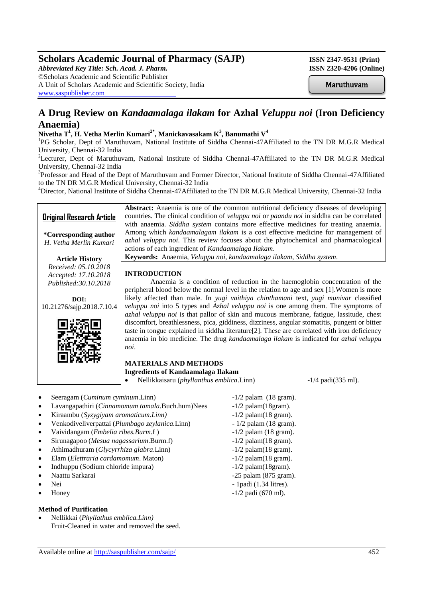# **Scholars Academic Journal of Pharmacy (SAJP) ISSN 2347-9531 (Print)**

*Abbreviated Key Title: Sch. Acad. J. Pharm.* **ISSN 2320-4206 (Online)** ©Scholars Academic and Scientific Publisher A Unit of Scholars Academic and Scientific Society, India [www.saspublisher.com](http://www.saspublisher.com/)

Maruthuvam

# **A Drug Review on** *Kandaamalaga ilakam* **for Azhal** *Veluppu noi* **(Iron Deficiency Anaemia)**

## **Nivetha T<sup>1</sup> , H. Vetha Merlin Kumari2\* , Manickavasakam K<sup>3</sup> , Banumathi V<sup>4</sup>**

<sup>1</sup>PG Scholar, Dept of Maruthuvam, National Institute of Siddha Chennai-47Affiliated to the TN DR M.G.R Medical University, Chennai-32 India

<sup>2</sup>Lecturer, Dept of Maruthuvam, National Institute of Siddha Chennai-47Affiliated to the TN DR M.G.R Medical University, Chennai-32 India

<sup>3</sup>Professor and Head of the Dept of Maruthuvam and Former Director, National Institute of Siddha Chennai-47Affiliated to the TN DR M.G.R Medical University, Chennai-32 India

<sup>4</sup>Director, National Institute of Siddha Chennai-47Affiliated to the TN DR M.G.R Medical University, Chennai-32 India

#### **Original Research Article \*Corresponding author** *H. Vetha Merlin Kumari* **Article History** *Received: 05.10.2018 Accepted: 17.10.2018 Published:30.10.2018* **DOI:** 10.21276/sajp.2018.7.10.4 **Abstract:** Anaemia is one of the common nutritional deficiency diseases of developing countries. The clinical condition of *veluppu noi* or *paandu noi* in siddha can be correlated with anaemia. *Siddha system* contains more effective medicines for treating anaemia. Among which *kandaamalagam ilakam* is a cost effective medicine for management of *azhal veluppu noi*. This review focuses about the phytochemical and pharmacological actions of each ingredient of *Kandaamalaga Ilakam*. **Keywords:** Anaemia, *Veluppu noi, kandaamalaga ilakam*, *Siddha system*. **INTRODUCTION** Anaemia is a condition of reduction in the haemoglobin concentration of the



peripheral blood below the normal level in the relation to age and sex [1].Women is more likely affected than male. In *yugi vaithiya chinthamani* text, *yugi munivar* classified *veluppu noi* into 5 types and *Azhal veluppu noi* is one among them. The symptoms of *azhal veluppu noi* is that pallor of skin and mucous membrane, fatigue, lassitude, chest discomfort, breathlessness, pica, giddiness, dizziness, angular stomatitis, pungent or bitter taste in tongue explained in siddha literature[2]. These are correlated with iron deficiency anaemia in bio medicine. The drug *kandaamalaga ilakam* is indicated for *azhal veluppu noi*.

#### **MATERIALS AND METHODS Ingredients of Kandaamalaga Ilakam**

Nellikkaisaru (*phyllanthus emblica*.Linn) -1/4 padi(335 ml).

- Seeragam (*Cuminum cyminum*.Linn) -1/2 palam (18 gram).
- Lavangapathiri (*Cinnamomum tamala*.Buch.hum)Nees -1/2 palam(18gram).
- Kiraambu (*Syzygiyam aromaticum.Linn)* -1/2 palam(18 gram).
- Venkodiveliverpattai (*Plumbago zeylanica.*Linn) 1/2 palam (18 gram).
- Vaividangam (*Embelia ribes.Burm.f* ) -1/2 palam (18 gram).
- Sirunagapoo (*Mesua nagassarium*.Burm.f) -1/2 palam(18 gram).
- Athimadhuram (*Glycyrrhiza glabra*.Linn) -1/2 palam(18 gram).
- Elam (*Elettraria cardamomum*. Maton) -1/2 palam(18 gram).
- Indhuppu (Sodium chloride impura) -1/2 palam(18gram).
- 
- 
- 

### **Method of Purification**

 Nellikkai (*Phyllathus emblica.Linn)* Fruit-Cleaned in water and removed the seed.

Naattu Sarkarai -25 palam (875 gram). Nei - 1padi (1.34 litres). Honey -1/2 padi (670 ml).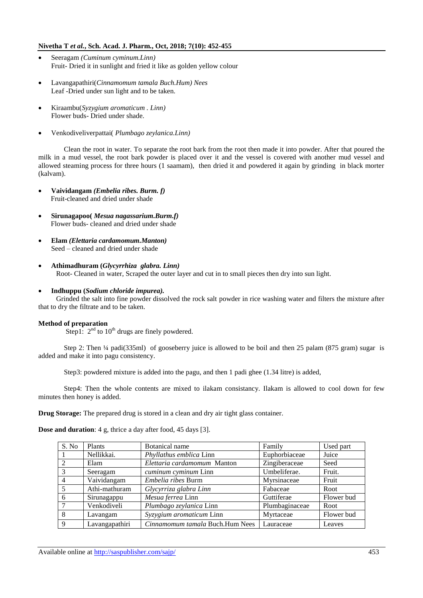## **Nivetha T** *et al.***, Sch. Acad. J. Pharm., Oct, 2018; 7(10): 452-455**

- Seeragam *(Cuminum cyminum.Linn)* Fruit- Dried it in sunlight and fried it like as golden yellow colour
- Lavangapathiri(*Cinnamomum tamala Buch.Hum) Nees* Leaf -Dried under sun light and to be taken.
- Kiraambu(*Syzygium aromaticum . Linn)* Flower buds- Dried under shade.
- Venkodiveliverpattai( *Plumbago zeylanica.Linn)*

Clean the root in water. To separate the root bark from the root then made it into powder. After that poured the milk in a mud vessel, the root bark powder is placed over it and the vessel is covered with another mud vessel and allowed steaming process for three hours (1 saamam), then dried it and powdered it again by grinding in black morter (kalvam).

- **Vaividangam** *(Embelia ribes. Burm. f)* Fruit-cleaned and dried under shade
- **Sirunagapoo(** *Mesua nagassarium.Burm.f)* Flower buds- cleaned and dried under shade
- **Elam** *(Elettaria cardamomum.Manton)* Seed – cleaned and dried under shade
- **Athimadhuram (***Glycyrrhiza glabra. Linn)* Root- Cleaned in water, Scraped the outer layer and cut in to small pieces then dry into sun light.

#### **Indhuppu (***Sodium chloride impurea).*

 Grinded the salt into fine powder dissolved the rock salt powder in rice washing water and filters the mixture after that to dry the filtrate and to be taken.

#### **Method of preparation**

Step1:  $2<sup>nd</sup>$  to  $10<sup>th</sup>$  drugs are finely powdered.

Step 2: Then <sup>1</sup>/4 padi(335ml) of gooseberry juice is allowed to be boil and then 25 palam (875 gram) sugar is added and make it into pagu consistency.

Step3: powdered mixture is added into the pagu, and then 1 padi ghee (1.34 litre) is added,

Step4: Then the whole contents are mixed to ilakam consistancy. Ilakam is allowed to cool down for few minutes then honey is added.

**Drug Storage:** The prepared drug is stored in a clean and dry air tight glass container.

**Dose and duration**: 4 g, thrice a day after food, 45 days [3].

| S. No | Plants         | Botanical name<br>Family        |                | Used part  |
|-------|----------------|---------------------------------|----------------|------------|
|       | Nellikkai.     | Phyllathus emblica Linn         | Euphorbiaceae  | Juice      |
|       | Elam           | Elettaria cardamomum Manton     | Zingiberaceae  | Seed       |
|       | Seeragam       | cuminum cyminum Linn            | Umbeliferae.   | Fruit.     |
|       | Vaividangam    | Embelia ribes Burm              | Myrsinaceae    | Fruit      |
|       | Athi-mathuram  | Glycyrriza glabra Linn          | Fabaceae       | Root       |
| 6     | Sirunagappu    | Mesua ferrea Linn               | Guttiferae     | Flower bud |
|       | Venkodiveli    | Plumbago zeylanica Linn         | Plumbaginaceae | Root       |
| 8     | Lavangam       | Syzygium aromaticum Linn        | Myrtaceae      | Flower bud |
| 9     | Lavangapathiri | Cinnamomum tamala Buch.Hum Nees | Lauraceae      | Leaves     |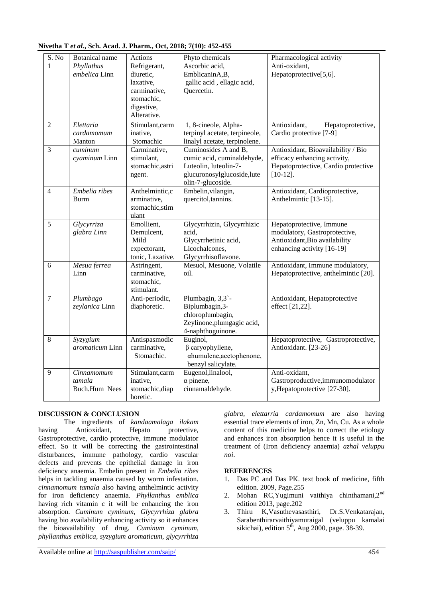| S. No          | <b>Botanical</b> name                        | Actions                                                                                           | Phyto chemicals                                                                                                                | Pharmacological activity                                                                                                 |
|----------------|----------------------------------------------|---------------------------------------------------------------------------------------------------|--------------------------------------------------------------------------------------------------------------------------------|--------------------------------------------------------------------------------------------------------------------------|
| 1              | Phyllathus<br>embelica Linn                  | Refrigerant,<br>diuretic,<br>laxative,<br>carminative,<br>stomachic,<br>digestive,<br>Alterative. | Ascorbic acid,<br>EmblicaninA,B,<br>gallic acid, ellagic acid,<br>Quercetin.                                                   | Anti-oxidant,<br>Hepatoprotective[5,6].                                                                                  |
| $\overline{2}$ | Elettaria<br>cardamomum<br>Manton            | Stimulant, carm<br>inative,<br>Stomachic                                                          | 1, 8-cineole, Alpha-<br>terpinyl acetate, terpineole,<br>linalyl acetate, terpinolene.                                         | Antioxidant,<br>Hepatoprotective,<br>Cardio protective [7-9]                                                             |
| $\overline{3}$ | cuminum<br>cyaminum Linn                     | Carminative,<br>stimulant,<br>stomachic, astri<br>ngent.                                          | Cuminosides A and B,<br>cumic acid, cuminaldehyde,<br>Luteolin, luteolin-7-<br>glucuronosylglucoside,lute<br>olin-7-glucoside. | Antioxidant, Bioavailability / Bio<br>efficacy enhancing activity,<br>Hepatoprotective, Cardio protective<br>$[10-12]$ . |
| $\overline{4}$ | Embelia ribes<br><b>Burm</b>                 | Anthelmintic,c<br>arminative,<br>stomachic, stim<br>ulant                                         | Embelin, vilangin,<br>quercitol, tannins.                                                                                      | Antioxidant, Cardioprotective,<br>Anthelmintic [13-15].                                                                  |
| 5              | Glycyrriza<br>glabra Linn                    | Emollient,<br>Demulcent,<br>Mild<br>expectorant,<br>tonic, Laxative.                              | Glycyrrhizin, Glycyrrhizic<br>acid,<br>Glycyrrhetinic acid,<br>Licochalcones,<br>Glycyrrhisoflavone.                           | Hepatoprotective, Immune<br>modulatory, Gastroprotective,<br>Antioxidant, Bio availability<br>enhancing activity [16-19] |
| 6              | Mesua ferrea<br>Linn                         | Astringent,<br>carminative,<br>stomachic,<br>stimulant.                                           | Mesuol, Mesuone, Volatile<br>oil.                                                                                              | Antioxidant, Immune modulatory,<br>Hepatoprotective, anthelmintic [20].                                                  |
| $\tau$         | Plumbago<br>zeylanica Linn                   | Anti-periodic,<br>diaphoretic.                                                                    | Plumbagin, 3,3`-<br>Biplumbagin, 3-<br>chloroplumbagin,<br>Zeylinone, plumgagic acid,<br>4-naphthoguinone.                     | Antioxidant, Hepatoprotective<br>effect [21,22].                                                                         |
| $\overline{8}$ | Syzygium<br>aromaticum Linn                  | Antispasmodic<br>carminative,<br>Stomachic.                                                       | Euginol,<br>$\beta$ caryophyllene,<br>ahumulene, acetophenone,<br>benzyl salicylate.                                           | Hepatoprotective, Gastroprotective,<br>Antioxidant. [23-26]                                                              |
| 9              | Cinnamomum<br>tamala<br><b>Buch.Hum Nees</b> | Stimulant,carm<br>inative,<br>stomachic, diap<br>horetic.                                         | Eugenol, linalool,<br>$\alpha$ pinene,<br>cinnamaldehyde.                                                                      | Anti-oxidant,<br>Gastroproductive, immunomodulator<br>y, Hepatoprotective [27-30].                                       |

## **Nivetha T** *et al.***, Sch. Acad. J. Pharm., Oct, 2018; 7(10): 452-455**

#### **DISCUSSION & CONCLUSION**

The ingredients of *kandaamalaga ilakam*  having Antioxidant, Hepato protective, Gastroprotective, cardio protective, immune modulator effect. So it will be correcting the gastrointestinal disturbances, immune pathology, cardio vascular defects and prevents the epithelial damage in iron deficiency anaemia. Embelin present in *Embelia ribes* helps in tackling anaemia caused by worm infestation. *cinnamomum tamala* also having anthelmintic activity for iron deficiency anaemia. *Phyllanthus emblica* having rich vitamin c it will be enhancing the iron absorption. *Cuminum cyminum, Glycyrrhiza glabra* having bio availability enhancing activity so it enhances the bioavailability of drug. *Cuminum cyminum, phyllanthus emblica, syzygium aromaticum, glycyrrhiza* 

*glabra, elettarria cardamomum* are also having essential trace elements of iron, Zn, Mn, Cu. As a whole content of this medicine helps to correct the etiology and enhances iron absorption hence it is useful in the treatment of (Iron deficiency anaemia) *azhal veluppu noi*.

## **REFERENCES**

- 1. Das PC and Das PK. text book of medicine, fifth edition. 2009, Page.255
- 2. Mohan RC,Yugimuni vaithiya chinthamani,2nd edition 2013, page.202
- 3. Thiru K,Vasuthevasasthiri, Dr.S.Venkatarajan, Sarabenthirarvaithiyamuraigal (veluppu kamalai sikichai), edition  $5<sup>th</sup>$ , Aug 2000, page. 38-39.